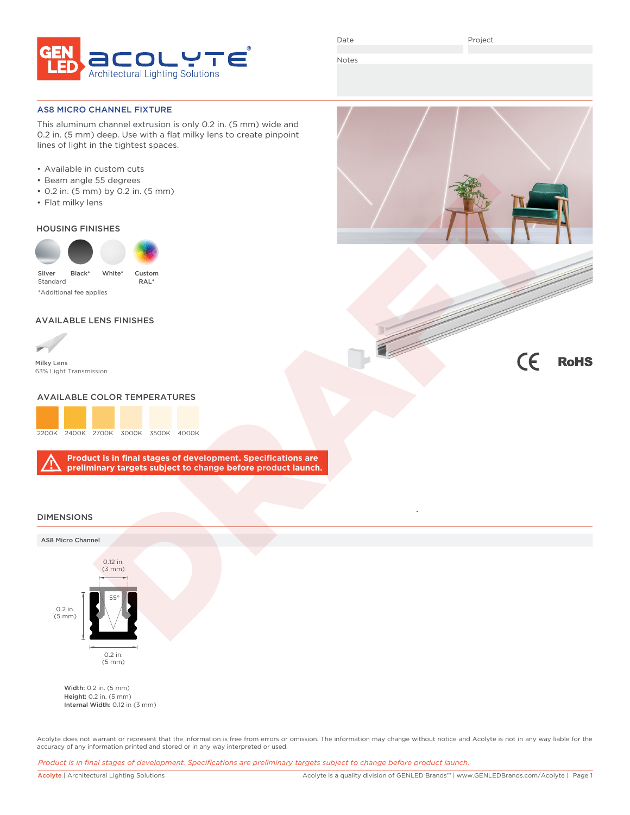

Notes

### AS8 MICRO CHANNEL FIXTURE

This aluminum channel extrusion is only 0.2 in. (5 mm) wide and 0.2 in. (5 mm) deep. Use with a flat milky lens to create pinpoint lines of light in the tightest spaces.

- Available in custom cuts
- Beam angle 55 degrees
- 0.2 in. (5 mm) by 0.2 in. (5 mm)
- Flat milky lens

### HOUSING FINISHES



\*Additional fee applies

# AVAILABLE LENS FINISHES



Milky Lens 63% Light Transmission

## AVAILABLE COLOR TEMPERATURES



**Product is in final stages of development. Specifications are preliminary targets subject to change before product launch.**





# DIMENSIONS

#### AS8 Micro Channel



Width: 0.2 in. (5 mm) Height: 0.2 in. (5 mm) Internal Width: 0.12 in (3 mm)

Acolyte does not warrant or represent that the information is free from errors or omission. The information may change without notice and Acolyte is not in any way liable for the accuracy of any information printed and stored or in any way interpreted or used.

*Product is in final stages of development. Specifications are preliminary targets subject to change before product launch.*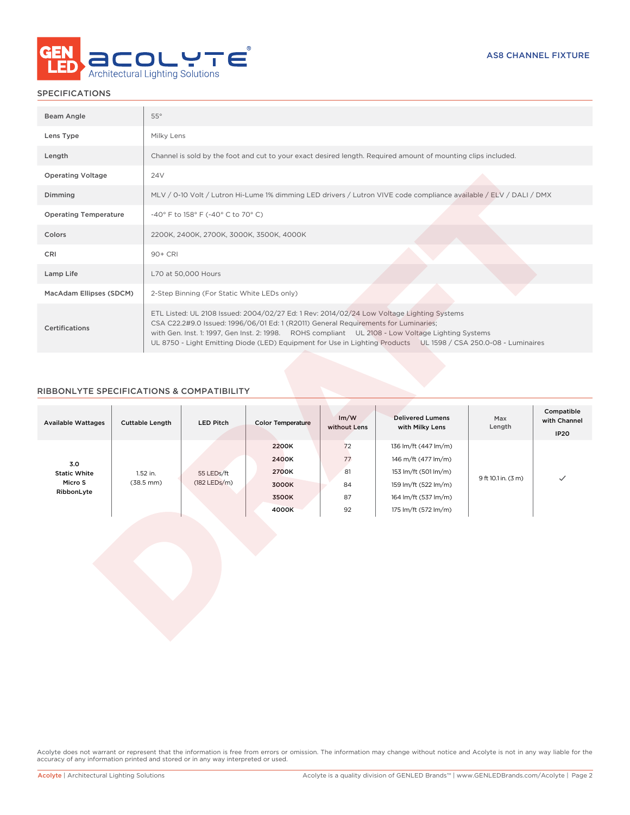

# SPECIFICATIONS

| Beam Angle                   | $55^\circ$                                                                                                                                                                                                                                                                                                                                                                                               |
|------------------------------|----------------------------------------------------------------------------------------------------------------------------------------------------------------------------------------------------------------------------------------------------------------------------------------------------------------------------------------------------------------------------------------------------------|
| Lens Type                    | Milky Lens                                                                                                                                                                                                                                                                                                                                                                                               |
| Length                       | Channel is sold by the foot and cut to your exact desired length. Required amount of mounting clips included.                                                                                                                                                                                                                                                                                            |
| <b>Operating Voltage</b>     | 24 <sub>V</sub>                                                                                                                                                                                                                                                                                                                                                                                          |
| Dimming                      | MLV / 0-10 Volt / Lutron Hi-Lume 1% dimming LED drivers / Lutron VIVE code compliance available / ELV / DALI / DMX                                                                                                                                                                                                                                                                                       |
| <b>Operating Temperature</b> | -40° F to 158° F (-40° C to 70° C)                                                                                                                                                                                                                                                                                                                                                                       |
| Colors                       | 2200K, 2400K, 2700K, 3000K, 3500K, 4000K                                                                                                                                                                                                                                                                                                                                                                 |
| CRI                          | 90+ CRI                                                                                                                                                                                                                                                                                                                                                                                                  |
| Lamp Life                    | L70 at 50,000 Hours                                                                                                                                                                                                                                                                                                                                                                                      |
| MacAdam Ellipses (SDCM)      | 2-Step Binning (For Static White LEDs only)                                                                                                                                                                                                                                                                                                                                                              |
| <b>Certifications</b>        | ETL Listed: UL 2108 Issued: 2004/02/27 Ed: 1 Rev: 2014/02/24 Low Voltage Lighting Systems<br>CSA C22.2#9.0 Issued: 1996/06/01 Ed: 1 (R2011) General Requirements for Luminaries;<br>with Gen. Inst. 1: 1997, Gen Inst. 2: 1998. ROHS compliant UL 2108 - Low Voltage Lighting Systems<br>UL 8750 - Light Emitting Diode (LED) Equipment for Use in Lighting Products UL 1598 / CSA 250.0-08 - Luminaires |

# RIBBONLYTE SPECIFICATIONS & COMPATIBILITY

| <b>Available Wattages</b>  | <b>Cuttable Length</b>          | <b>LED Pitch</b>             | <b>Color Temperature</b> | Im/W<br>without Lens | <b>Delivered Lumens</b><br>with Milky Lens | Max<br>Length       | Compatible<br>with Channel<br><b>IP20</b> |
|----------------------------|---------------------------------|------------------------------|--------------------------|----------------------|--------------------------------------------|---------------------|-------------------------------------------|
|                            |                                 |                              | 2200K                    | 72                   | 136 lm/ft (447 lm/m)                       |                     |                                           |
| 3.0<br><b>Static White</b> | 1.52 in.<br>$(38.5 \text{ mm})$ | 55 LEDs/ft<br>$(182$ LEDs/m) | 2400K                    | 77                   | 146 m/ft (477 lm/m)                        |                     |                                           |
|                            |                                 |                              | 2700K                    | 81                   | 153 lm/ft (501 lm/m)                       |                     |                                           |
| Micro S                    |                                 |                              | 3000K                    | 84                   | 159 lm/ft (522 lm/m)                       | 9 ft 10.1 in. (3 m) | $\checkmark$                              |
| RibbonLyte                 |                                 |                              | 3500K                    | 87                   | 164 lm/ft (537 lm/m)                       |                     |                                           |
|                            |                                 |                              | 4000K                    | 92                   | 175 lm/ft (572 lm/m)                       |                     |                                           |

Acolyte does not warrant or represent that the information is free from errors or omission. The information may change without notice and Acolyte is not in any way liable for the accuracy of any information printed and stored or in any way interpreted or used.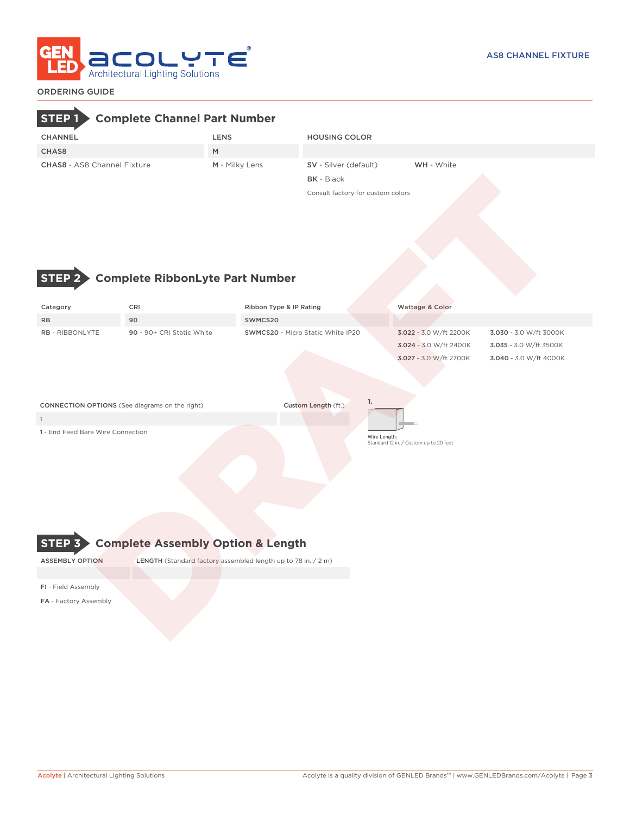

# ORDERING GUIDE

# **STEP 1 Complete Channel Part Number**

| <b>CHANNEL</b>                     | LENS           | <b>HOUSING COLOR</b>         |                   |  |
|------------------------------------|----------------|------------------------------|-------------------|--|
| CHAS8                              | M              |                              |                   |  |
| <b>CHAS8 - AS8 Channel Fixture</b> | M - Milky Lens | <b>SV</b> - Silver (default) | <b>WH</b> - White |  |
|                                    |                | <b>BK</b> - Black            |                   |  |

Consult factory for custom colors



# **STEP 2 Complete RibbonLyte Part Number**

| Category                                              | CRI                       | Ribbon Type & IP Rating           | <b>Wattage &amp; Color</b>                                                 |                                                                            |  |  |  |  |
|-------------------------------------------------------|---------------------------|-----------------------------------|----------------------------------------------------------------------------|----------------------------------------------------------------------------|--|--|--|--|
| <b>RB</b>                                             | 90                        | SWMCS20                           |                                                                            |                                                                            |  |  |  |  |
| RB - RIBBONLYTE                                       | 90 - 90+ CRI Static White | SWMCS20 - Micro Static White IP20 | 3.022 - 3.0 W/ft 2200K<br>3.024 - 3.0 W/ft 2400K<br>3.027 - 3.0 W/ft 2700K | 3.030 - 3.0 W/ft 3000K<br>3.035 - 3.0 W/ft 3500K<br>3.040 - 3.0 W/ft 4000K |  |  |  |  |
| <b>CONNECTION OPTIONS</b> (See diagrams on the right) |                           | 1.<br>Custom Length (ft.)         |                                                                            |                                                                            |  |  |  |  |
|                                                       |                           |                                   |                                                                            |                                                                            |  |  |  |  |
| 1 - End Feed Bare Wire Connection                     |                           | Wire Length:                      | Standard 12 in. / Custom up to 20 feet                                     |                                                                            |  |  |  |  |



ASSEMBLY OPTION LENGTH (Standard factory assembled length up to 78 in. / 2 m)

FI - Field Assembly

FA - Factory Assembly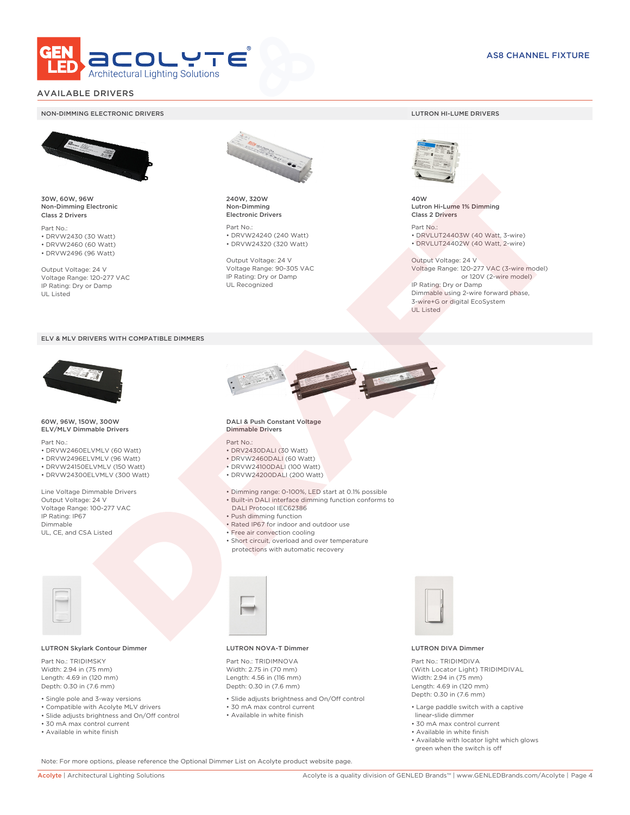

# AVAILABLE DRIVERS

#### NON-DIMMING ELECTRONIC DRIVERS LUTRON HI-LUME DRIVERS



30W, 60W, 96W Non-Dimming Electronic Class 2 Drivers

Part No.: • DRVW2430 (30 Watt) • DRVW2460 (60 Watt)

• DRVW2496 (96 Watt)

Output Voltage: 24 V Voltage Range: 120-277 VAC IP Rating: Dry or Damp UL Listed



240W, 320W Non-Dimming Electronic Drivers

Part No.: • DRVW24240 (240 Watt) • DRVW24320 (320 Watt)

Output Voltage: 24 V Voltage Range: 90-305 VAC IP Rating: Dry or Damp UL Recognized



40W Lutron Hi-Lume 1% Dimming Class 2 Drivers

Part No.: • DRVLUT24403W (40 Watt, 3-wire) • DRVLUT24402W (40 Watt, 2-wire)

Output Voltage: 24 V Voltage Range: 120-277 VAC (3-wire model) or 120V (2-wire model) IP Rating: Dry or Damp Dimmable using 2-wire forward phase, 3-wire+G or digital EcoSystem UL Listed

#### ELV & MLV DRIVERS WITH COMPATIBLE DIMMERS



#### 60W, 96W, 150W, 300W ELV/MLV Dimmable Drivers

Part No.:

- DRVW2460ELVMLV (60 Watt)
- DRVW2496ELVMLV (96 Watt)
- DRVW24150ELVMLV (150 Watt)

• DRVW24300ELVMLV (300 Watt)

Line Voltage Dimmable Drivers Output Voltage: 24 V Voltage Range: 100-277 VAC IP Rating: IP67 Dimmable UL, CE, and CSA Listed



#### LUTRON Skylark Contour Dimmer

Part No · TRIDIMSKY Width: 2.94 in (75 mm) Length: 4.69 in (120 mm) Depth: 0.30 in (7.6 mm)

- Single pole and 3-way versions
- Compatible with Acolyte MLV drivers
- Slide adjusts brightness and On/Off control • 30 mA max control current
- 
- Available in white finish



#### DALI & Push Constant Voltage Dimmable Drivers

#### Part No.:

- DRV2430DALI (30 Watt)
- DRVW2460DALI (60 Watt)
- DRVW24100DALI (100 Watt)
- DRVW24200DALI (200 Watt)
- Dimming range: 0-100%, LED start at 0.1% possible
- Built-in DALI interface dimming function conforms to DALI Protocol IEC62386
- Push dimming function
- Rated IP67 for indoor and outdoor use
- Free air convection cooling
- Short circuit, overload and over temperature
	- protections with automatic recovery



#### LUTRON NOVA-T Dimmer

Part No.: TRIDIMNOVA Width: 2.75 in (70 mm)

- Length: 4.56 in (116 mm) Depth: 0.30 in (7.6 mm)
- Slide adjusts brightness and On/Off control
- 30 mA max control current • Available in white finish



#### LUTRON DIVA Dimmer

Part No.: TRIDIMDIVA (With Locator Light) TRIDIMDIVAL Width: 2.94 in (75 mm) Length: 4.69 in (120 mm) Depth: 0.30 in (7.6 mm)

- Large paddle switch with a captive linear-slide dimmer
- 30 mA max control current
- Available in white finish
- Available with locator light which glows green when the switch is off

Note: For more options, please reference the Optional Dimmer List on Acolyte product website page.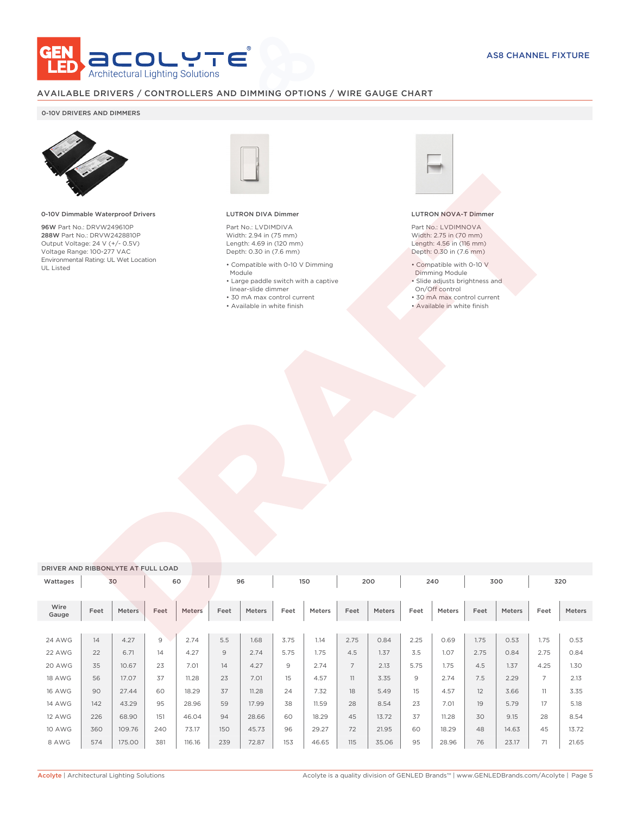

# AVAILABLE DRIVERS / CONTROLLERS AND DIMMING OPTIONS / WIRE GAUGE CHART

### 0-10V DRIVERS AND DIMMERS



#### 0-10V Dimmable Waterproof Drivers

96W Part No.: DRVW249610P 288W Part No.: DRVW2428810P Output Voltage: 24 V (+/- 0.5V) Voltage Range: 100-277 VAC Environmental Rating: UL Wet Location UL Listed



#### LUTRON DIVA Dimmer

Part No.: LVDIMDIVA Width: 2.94 in (75 mm) Length: 4.69 in (120 mm) Depth: 0.30 in (7.6 mm)

- Compatible with 0-10 V Dimming Module
- Large paddle switch with a captive linear-slide dimmer
- 30 mA max control current
- Available in white finish



#### LUTRON NOVA-T Dimmer

Part No.: LVDIMNOVA Width: 2.75 in (70 mm) Length: 4.56 in (116 mm) Depth: 0.30 in (7.6 mm)

- Compatible with 0-10 V
- Dimming Module • Slide adjusts brightness and
- On/Off control
- 30 mA max control current
- Available in white finish

| DRIVER AND RIBBONLYTE AT FULL LOAD |      |        |                |        |      |        |      |        |                |               |      |        |      |        |                |        |
|------------------------------------|------|--------|----------------|--------|------|--------|------|--------|----------------|---------------|------|--------|------|--------|----------------|--------|
| Wattages                           |      | 30     |                | 60     |      | 96     |      | 150    |                | 200           |      | 240    |      | 300    |                | 320    |
|                                    |      |        |                |        |      |        |      |        |                |               |      |        |      |        |                |        |
| Wire<br>Gauge                      | Feet | Meters | Feet           | Meters | Feet | Meters | Feet | Meters | Feet           | <b>Meters</b> | Feet | Meters | Feet | Meters | Feet           | Meters |
|                                    |      |        |                |        |      |        |      |        |                |               |      |        |      |        |                |        |
| 24 AWG                             | 14   | 4.27   | $\overline{9}$ | 2.74   | 5.5  | 1.68   | 3.75 | 1.14   | 2.75           | 0.84          | 2.25 | 0.69   | 1.75 | 0.53   | 1.75           | 0.53   |
| 22 AWG                             | 22   | 6.71   | 14             | 4.27   | 9    | 2.74   | 5.75 | 1.75   | 4.5            | 1.37          | 3.5  | 1.07   | 2.75 | 0.84   | 2.75           | 0.84   |
| 20 AWG                             | 35   | 10.67  | 23             | 7.01   | 14   | 4.27   | 9    | 2.74   | $\overline{7}$ | 2.13          | 5.75 | 1.75   | 4.5  | 1.37   | 4.25           | 1.30   |
| 18 AWG                             | 56   | 17.07  | 37             | 11.28  | 23   | 7.01   | 15   | 4.57   | 11             | 3.35          | 9    | 2.74   | 7.5  | 2.29   | $\overline{7}$ | 2.13   |
| <b>16 AWG</b>                      | 90   | 27.44  | 60             | 18.29  | 37   | 11.28  | 24   | 7.32   | 18             | 5.49          | 15   | 4.57   | 12   | 3.66   | 11             | 3.35   |
| <b>14 AWG</b>                      | 142  | 43.29  | 95             | 28.96  | 59   | 17.99  | 38   | 11.59  | 28             | 8.54          | 23   | 7.01   | 19   | 5.79   | 17             | 5.18   |
| <b>12 AWG</b>                      | 226  | 68.90  | 151            | 46.04  | 94   | 28.66  | 60   | 18.29  | 45             | 13.72         | 37   | 11.28  | 30   | 9.15   | 28             | 8.54   |
| 10 AWG                             | 360  | 109.76 | 240            | 73.17  | 150  | 45.73  | 96   | 29.27  | 72             | 21.95         | 60   | 18.29  | 48   | 14.63  | 45             | 13.72  |
| 8 AWG                              | 574  | 175.00 | 381            | 116.16 | 239  | 72.87  | 153  | 46.65  | 115            | 35.06         | 95   | 28.96  | 76   | 23.17  | 71             | 21.65  |